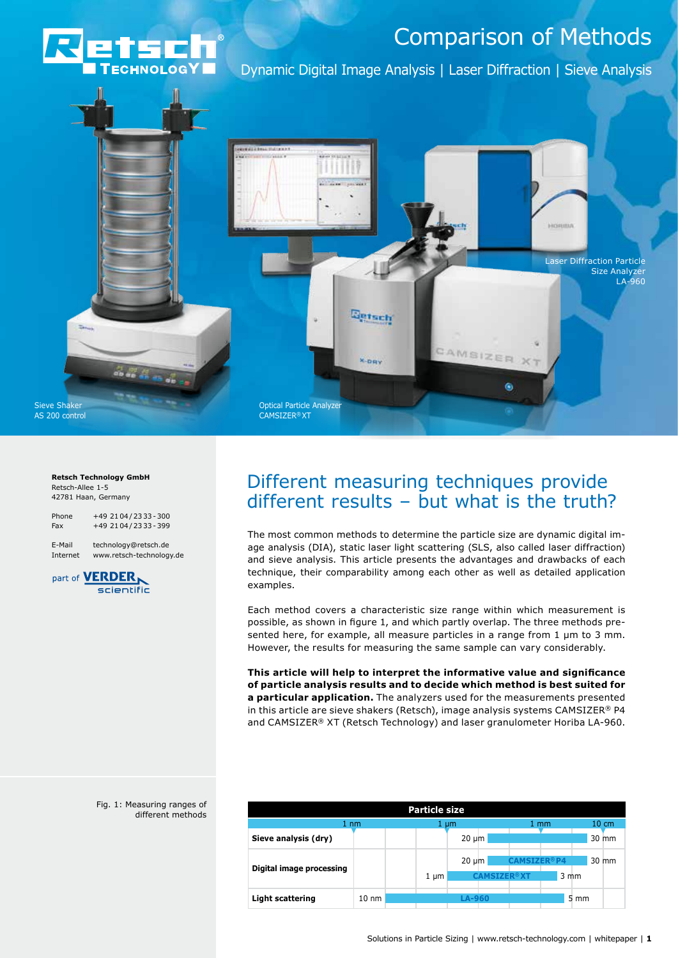

Dynamic Digital Image Analysis | Laser Diffraction | Sieve Analysis



#### **Retsch Technology GmbH** Retsch-Allee 1-5 42781 Haan, Germany

Phone +49 2104 / 2333 - 300 Fax +49 2104/2333-399

E-Mail technology@retsch.de Internet www.retsch-technology.de



#### Fig. 1: Measuring ranges of different methods

# Different measuring techniques provide different results – but what is the truth?

The most common methods to determine the particle size are dynamic digital image analysis (DIA), static laser light scattering (SLS, also called laser diffraction) and sieve analysis. This article presents the advantages and drawbacks of each technique, their comparability among each other as well as detailed application examples.

Each method covers a characteristic size range within which measurement is possible, as shown in figure 1, and which partly overlap. The three methods presented here, for example, all measure particles in a range from 1 µm to 3 mm. However, the results for measuring the same sample can vary considerably.

**This article will help to interpret the informative value and significance of particle analysis results and to decide which method is best suited for a particular application.** The analyzers used for the measurements presented in this article are sieve shakers (Retsch), image analysis systems CAMSIZER® P4 and CAMSIZER® XT (Retsch Technology) and laser granulometer Horiba LA-960.

| <b>Particle size</b>            |                 |           |               |                    |                  |  |  |  |
|---------------------------------|-----------------|-----------|---------------|--------------------|------------------|--|--|--|
| $1 \text{ nm}$                  |                 | 1 µm      |               | $1 \text{ mm}$     | $10 \text{ cm}$  |  |  |  |
| Sieve analysis (dry)            |                 |           | $20 \mu m$    |                    | 30 mm            |  |  |  |
| <b>Digital image processing</b> |                 |           | $20 \mu m$    | <b>CAMSTZFR®P4</b> | 30 mm            |  |  |  |
|                                 |                 | $1 \mu m$ |               | <b>CAMSTZER®XT</b> | $3 \, \text{mm}$ |  |  |  |
| <b>Light scattering</b>         | $10 \text{ nm}$ |           | <b>LA-960</b> |                    | 5 mm             |  |  |  |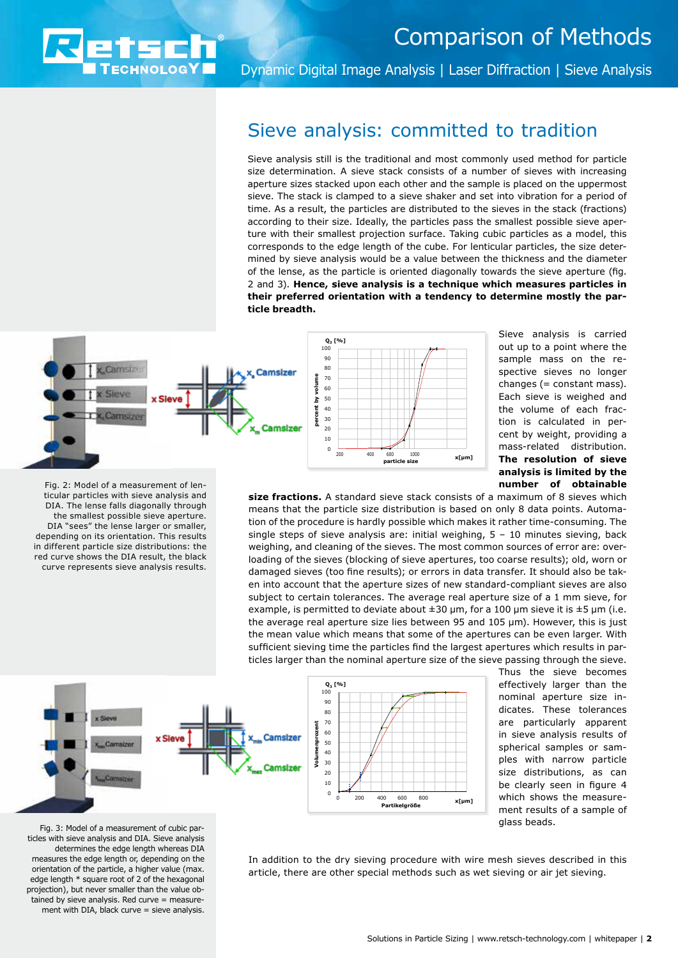

Dynamic Digital Image Analysis | Laser Diffraction | Sieve Analysis

## Sieve analysis: committed to tradition

Sieve analysis still is the traditional and most commonly used method for particle size determination. A sieve stack consists of a number of sieves with increasing aperture sizes stacked upon each other and the sample is placed on the uppermost sieve. The stack is clamped to a sieve shaker and set into vibration for a period of time. As a result, the particles are distributed to the sieves in the stack (fractions) according to their size. Ideally, the particles pass the smallest possible sieve aperture with their smallest projection surface. Taking cubic particles as a model, this corresponds to the edge length of the cube. For lenticular particles, the size determined by sieve analysis would be a value between the thickness and the diameter of the lense, as the particle is oriented diagonally towards the sieve aperture (fig. 2 and 3). **Hence, sieve analysis is a technique which measures particles in their preferred orientation with a tendency to determine mostly the particle breadth.** 



Sieve analysis is carried out up to a point where the sample mass on the respective sieves no longer changes (= constant mass). Each sieve is weighed and the volume of each fraction is calculated in percent by weight, providing a mass-related distribution. **The resolution of sieve analysis is limited by the number of obtainable** 

Fig. 2: Model of a measurement of lenticular particles with sieve analysis and DIA. The lense falls diagonally through the smallest possible sieve aperture. DIA "sees" the lense larger or smaller, depending on its orientation. This results in different particle size distributions: the red curve shows the DIA result, the black curve represents sieve analysis results.

**size fractions.** A standard sieve stack consists of a maximum of 8 sieves which means that the particle size distribution is based on only 8 data points. Automation of the procedure is hardly possible which makes it rather time-consuming. The single steps of sieve analysis are: initial weighing, 5 – 10 minutes sieving, back weighing, and cleaning of the sieves. The most common sources of error are: overloading of the sieves (blocking of sieve apertures, too coarse results); old, worn or damaged sieves (too fine results); or errors in data transfer. It should also be taken into account that the aperture sizes of new standard-compliant sieves are also subject to certain tolerances. The average real aperture size of a 1 mm sieve, for example, is permitted to deviate about  $\pm 30$  µm, for a 100 µm sieve it is  $\pm 5$  µm (i.e. the average real aperture size lies between 95 and 105 µm). However, this is just the mean value which means that some of the apertures can be even larger. With sufficient sieving time the particles find the largest apertures which results in particles larger than the nominal aperture size of the sieve passing through the sieve.



Thus the sieve becomes effectively larger than the nominal aperture size indicates. These tolerances are particularly apparent in sieve analysis results of spherical samples or samples with narrow particle size distributions, as can be clearly seen in figure 4 which shows the measurement results of a sample of glass beads.

Fig. 3: Model of a measurement of cubic particles with sieve analysis and DIA. Sieve analysis determines the edge length whereas DIA measures the edge length or, depending on the orientation of the particle, a higher value (max. edge length \* square root of 2 of the hexagonal projection), but never smaller than the value obtained by sieve analysis. Red curve = measurement with DIA, black curve = sieve analysis.

In addition to the dry sieving procedure with wire mesh sieves described in this article, there are other special methods such as wet sieving or air jet sieving.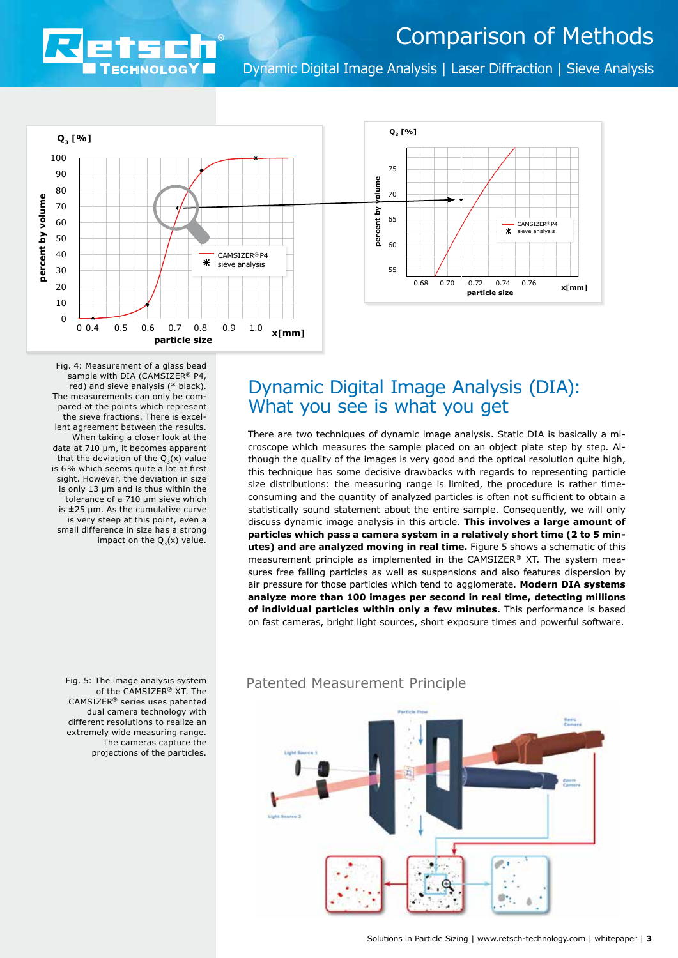

Dynamic Digital Image Analysis | Laser Diffraction | Sieve Analysis





Fig. 4: Measurement of a glass bead sample with DIA (CAMSIZER® P4, red) and sieve analysis (\* black). The measurements can only be compared at the points which represent the sieve fractions. There is excellent agreement between the results. When taking a closer look at the data at 710 µm, it becomes apparent that the deviation of the  $Q_3(x)$  value is 6% which seems quite a lot at first sight. However, the deviation in size is only 13 um and is thus within the tolerance of a 710 µm sieve which is ±25 µm. As the cumulative curve is very steep at this point, even a small difference in size has a strong impact on the  $Q_3(x)$  value.

# Dynamic Digital Image Analysis (DIA): What you see is what you get

There are two techniques of dynamic image analysis. Static DIA is basically a microscope which measures the sample placed on an object plate step by step. Although the quality of the images is very good and the optical resolution quite high, this technique has some decisive drawbacks with regards to representing particle size distributions: the measuring range is limited, the procedure is rather timeconsuming and the quantity of analyzed particles is often not sufficient to obtain a statistically sound statement about the entire sample. Consequently, we will only discuss dynamic image analysis in this article. **This involves a large amount of particles which pass a camera system in a relatively short time (2 to 5 minutes) and are analyzed moving in real time.** Figure 5 shows a schematic of this measurement principle as implemented in the CAMSIZER® XT. The system measures free falling particles as well as suspensions and also features dispersion by air pressure for those particles which tend to agglomerate. **Modern DIA systems analyze more than 100 images per second in real time, detecting millions of individual particles within only a few minutes.** This performance is based on fast cameras, bright light sources, short exposure times and powerful software.

Fig. 5: The image analysis system of the CAMSIZER® XT. The CAMSIZER® series uses patented dual camera technology with different resolutions to realize an extremely wide measuring range. The cameras capture the projections of the particles.

### Patented Measurement Principle

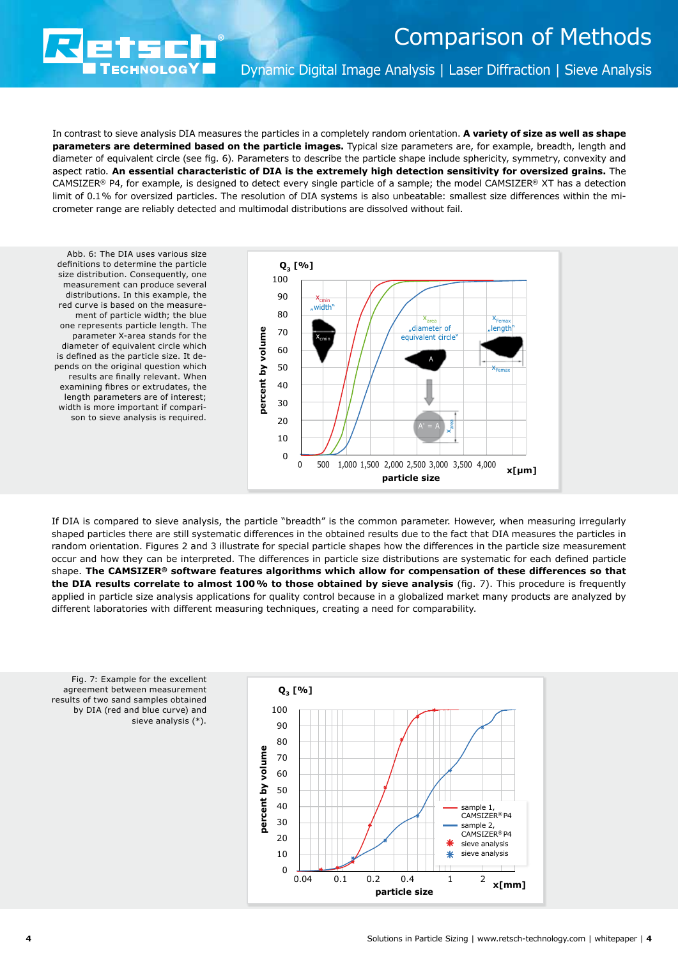Dynamic Digital Image Analysis | Laser Diffraction | Sieve Analysis

In contrast to sieve analysis DIA measures the particles in a completely random orientation. **A variety of size as well as shape parameters are determined based on the particle images.** Typical size parameters are, for example, breadth, length and diameter of equivalent circle (see fig. 6). Parameters to describe the particle shape include sphericity, symmetry, convexity and aspect ratio. **An essential characteristic of DIA is the extremely high detection sensitivity for oversized grains.** The CAMSIZER® P4, for example, is designed to detect every single particle of a sample; the model CAMSIZER® XT has a detection limit of 0.1% for oversized particles. The resolution of DIA systems is also unbeatable: smallest size differences within the micrometer range are reliably detected and multimodal distributions are dissolved without fail.

Abb. 6: The DIA uses various size definitions to determine the particle size distribution. Consequently, one measurement can produce several distributions. In this example, the red curve is based on the measurement of particle width; the blue one represents particle length. The parameter X-area stands for the diameter of equivalent circle which is defined as the particle size. It depends on the original question which results are finally relevant. When examining fibres or extrudates, the length parameters are of interest; width is more important if comparison to sieve analysis is required.

**ECHNOLOGY** 



If DIA is compared to sieve analysis, the particle "breadth" is the common parameter. However, when measuring irregularly shaped particles there are still systematic differences in the obtained results due to the fact that DIA measures the particles in random orientation. Figures 2 and 3 illustrate for special particle shapes how the differences in the particle size measurement occur and how they can be interpreted. The differences in particle size distributions are systematic for each defined particle shape. **The CAMSIZER® software features algorithms which allow for compensation of these differences so that the DIA results correlate to almost 100% to those obtained by sieve analysis** (fig. 7). This procedure is frequently applied in particle size analysis applications for quality control because in a globalized market many products are analyzed by different laboratories with different measuring techniques, creating a need for comparability.



Fig. 7: Example for the excellent agreement between measurement results of two sand samples obtained by DIA (red and blue curve) and sieve analysis (\*).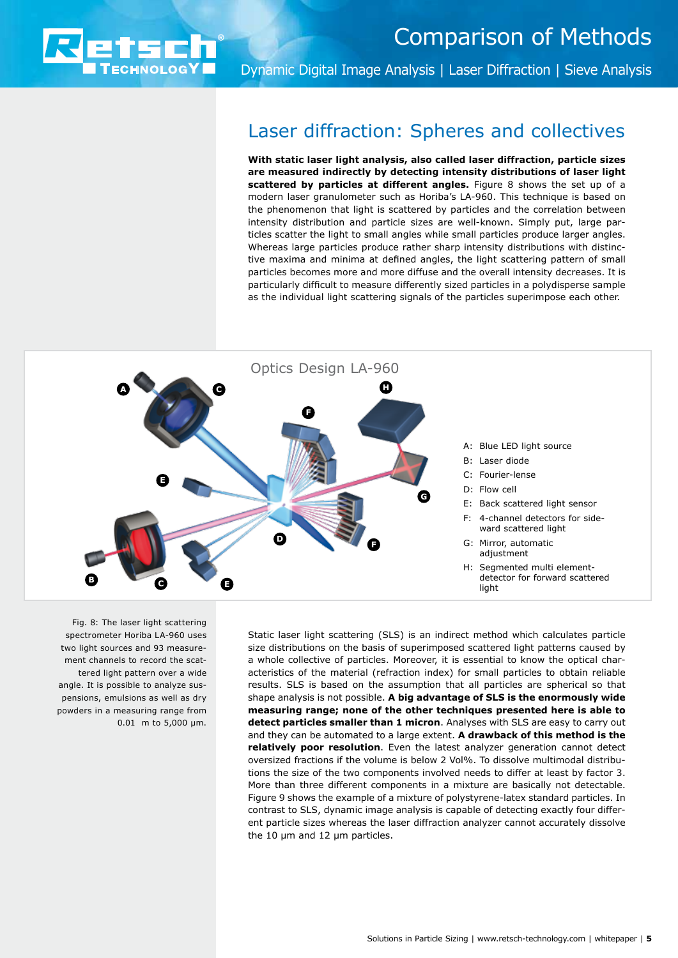

Dynamic Digital Image Analysis | Laser Diffraction | Sieve Analysis

### Laser diffraction: Spheres and collectives

**With static laser light analysis, also called laser diffraction, particle sizes are measured indirectly by detecting intensity distributions of laser light scattered by particles at different angles.** Figure 8 shows the set up of a modern laser granulometer such as Horiba's LA-960. This technique is based on the phenomenon that light is scattered by particles and the correlation between intensity distribution and particle sizes are well-known. Simply put, large particles scatter the light to small angles while small particles produce larger angles. Whereas large particles produce rather sharp intensity distributions with distinctive maxima and minima at defined angles, the light scattering pattern of small particles becomes more and more diffuse and the overall intensity decreases. It is particularly difficult to measure differently sized particles in a polydisperse sample as the individual light scattering signals of the particles superimpose each other.



Fig. 8: The laser light scattering spectrometer Horiba LA-960 uses two light sources and 93 measurement channels to record the scattered light pattern over a wide angle. It is possible to analyze suspensions, emulsions as well as dry powders in a measuring range from 0.01 m to 5,000 µm.

Static laser light scattering (SLS) is an indirect method which calculates particle size distributions on the basis of superimposed scattered light patterns caused by a whole collective of particles. Moreover, it is essential to know the optical characteristics of the material (refraction index) for small particles to obtain reliable results. SLS is based on the assumption that all particles are spherical so that shape analysis is not possible. **A big advantage of SLS is the enormously wide measuring range; none of the other techniques presented here is able to detect particles smaller than 1 micron**. Analyses with SLS are easy to carry out and they can be automated to a large extent. **A drawback of this method is the relatively poor resolution**. Even the latest analyzer generation cannot detect oversized fractions if the volume is below 2 Vol%. To dissolve multimodal distributions the size of the two components involved needs to differ at least by factor 3. More than three different components in a mixture are basically not detectable. Figure 9 shows the example of a mixture of polystyrene-latex standard particles. In contrast to SLS, dynamic image analysis is capable of detecting exactly four different particle sizes whereas the laser diffraction analyzer cannot accurately dissolve the  $10 \mu m$  and  $12 \mu m$  particles.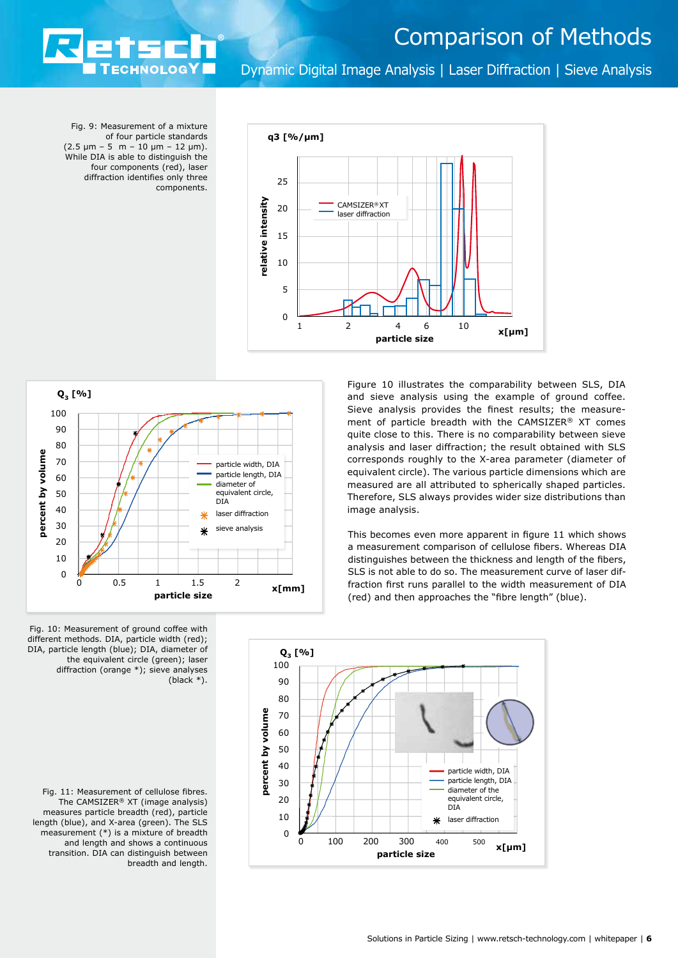

Dynamic Digital Image Analysis | Laser Diffraction | Sieve Analysis

Fig. 9: Measurement of a mixture of four particle standards  $(2.5 \text{ µm} - 5 \text{ m} - 10 \text{ µm} - 12 \text{ µm}).$ While DIA is able to distinguish the four components (red), laser diffraction identifies only three components.

**ECHNOLOGY** 



**Q3 [%]** 100  $90$  $80$ percent by volume **percent by volume** 70 particle width, DIA particle length, DIA 60 diameter of equivalent circle, 50 DIA 40 laser diffraction 30 sieve analysis 20 10 0 0 0.5 1 1.5 2 **x[mm] particle size**

Figure 10 illustrates the comparability between SLS, DIA and sieve analysis using the example of ground coffee. Sieve analysis provides the finest results; the measurement of particle breadth with the CAMSIZER® XT comes quite close to this. There is no comparability between sieve analysis and laser diffraction; the result obtained with SLS corresponds roughly to the X-area parameter (diameter of equivalent circle). The various particle dimensions which are measured are all attributed to spherically shaped particles. Therefore, SLS always provides wider size distributions than image analysis.

This becomes even more apparent in figure 11 which shows a measurement comparison of cellulose fibers. Whereas DIA distinguishes between the thickness and length of the fibers, SLS is not able to do so. The measurement curve of laser diffraction first runs parallel to the width measurement of DIA (red) and then approaches the "fibre length" (blue).



Fig. 10: Measurement of ground coffee with different methods. DIA, particle width (red); DIA, particle length (blue); DIA, diameter of the equivalent circle (green); laser diffraction (orange \*); sieve analyses (black \*).

Fig. 11: Measurement of cellulose fibres. The CAMSIZER® XT (image analysis) measures particle breadth (red), particle length (blue), and X-area (green). The SLS measurement (\*) is a mixture of breadth and length and shows a continuous transition. DIA can distinguish between breadth and length.